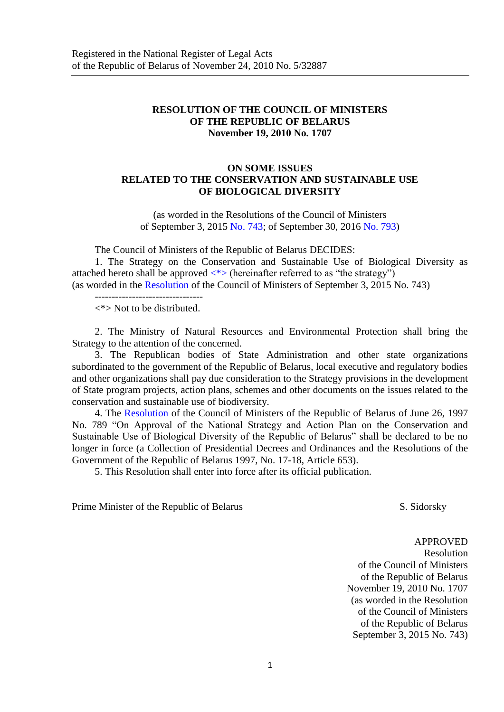# **RESOLUTION OF THE COUNCIL OF MINISTERS OF THE REPUBLIC OF BELARUS November 19, 2010 No. 1707**

# **ON SOME ISSUES RELATED TO THE CONSERVATION AND SUSTAINABLE USE OF BIOLOGICAL DIVERSITY**

(as worded in the Resolutions of the Council of Ministers of September 3, 2015 [No. 743;](consultantplus://offline/ref=B59DB10519530D8FB17029B93CE5BB628A69F975D0AD01D0B8699B58E0ABBF7B0D8D5EDA9F9393565A2B8B83730963K) of September 30, 2016 [No.](consultantplus://offline/ref=B59DB10519530D8FB17029B93CE5BB628A69F975D0AD00D3BA6E9D58E0ABBF7B0D8D5EDA9F9393565A2B8B83750962K) 793)

The Council of Ministers of the Republic of Belarus DECIDES:

1. The Strategy on the Conservation and Sustainable Use of Biological Diversity as attached hereto shall be approved  $\langle * \rangle$  (hereinafter referred to as "the strategy") (as worded in the Resolution of the Council of Ministers of September 3, 2015 No. 743)

--------------------------------

<\*> Not to be distributed.

<span id="page-0-0"></span>2. The Ministry of Natural Resources and Environmental Protection shall bring the Strategy to the attention of the concerned.

3. The Republican bodies of State Administration and other state organizations subordinated to the government of the Republic of Belarus, local executive and regulatory bodies and other organizations shall pay due consideration to the Strategy provisions in the development of State program projects, action plans, schemes and other documents on the issues related to the conservation and sustainable use of biodiversity.

4. The Resolution of the Council of Ministers of the Republic of Belarus of June 26, 1997 No. 789 "On Approval of the National Strategy and Action Plan on the Conservation and Sustainable Use of Biological Diversity of the Republic of Belarus" shall be declared to be no longer in force (a Collection of Presidential Decrees and Ordinances and the Resolutions of the Government of the Republic of Belarus 1997, No. 17-18, Article 653).

5. This Resolution shall enter into force after its official publication.

Prime Minister of the Republic of Belarus S. Sidorsky

APPROVED

 Resolution of the Council of Ministers of the Republic of Belarus November 19, 2010 No. 1707 (as worded in the Resolution of the Council of Ministers of the Republic of Belarus September 3, 2015 No. 743)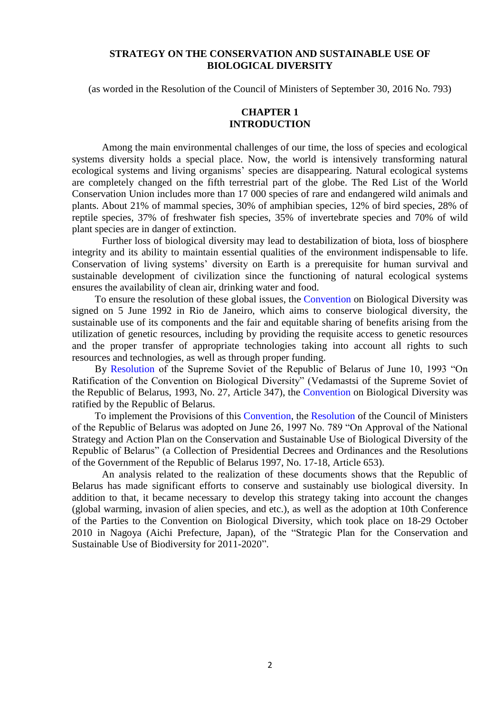# **STRATEGY ON THE CONSERVATION AND SUSTAINABLE USE OF BIOLOGICAL DIVERSITY**

(as worded in the Resolution of the Council of Ministers of September 30, 2016 No. 793)

# **CHAPTER 1 INTRODUCTION**

Among the main environmental challenges of our time, the loss of species and ecological systems diversity holds a special place. Now, the world is intensively transforming natural ecological systems and living organisms' species are disappearing. Natural ecological systems are completely changed on the fifth terrestrial part of the globe. The Red List of the World Conservation Union includes more than 17 000 species of rare and endangered wild animals and plants. About 21% of mammal species, 30% of amphibian species, 12% of bird species, 28% of reptile species, 37% of freshwater fish species, 35% of invertebrate species and 70% of wild plant species are in danger of extinction.

Further loss of biological diversity may lead to destabilization of biota, loss of biosphere integrity and its ability to maintain essential qualities of the environment indispensable to life. Conservation of living systems' diversity on Earth is a prerequisite for human survival and sustainable development of civilization since the functioning of natural ecological systems ensures the availability of clean air, drinking water and food.

To ensure the resolution of these global issues, the Convention on Biological Diversity was signed on 5 June 1992 in Rio de Janeiro, which aims to conserve biological diversity, the sustainable use of its components and the fair and equitable sharing of benefits arising from the utilization of genetic resources, including by providing the requisite access to genetic resources and the proper transfer of appropriate technologies taking into account all rights to such resources and technologies, as well as through proper funding.

By Resolution of the Supreme Soviet of the Republic of Belarus of June 10, 1993 "On Ratification of the Convention on Biological Diversity" (Vedamastsi of the Supreme Soviet of the Republic of Belarus, 1993, No. 27, Article 347), the Convention on Biological Diversity was ratified by the Republic of Belarus.

To implement the Provisions of this Convention, the Resolution of the Council of Ministers of the Republic of Belarus was adopted on June 26, 1997 No. 789 "On Approval of the National Strategy and Action Plan on the Conservation and Sustainable Use of Biological Diversity of the Republic of Belarus" (a Collection of Presidential Decrees and Ordinances and the Resolutions of the Government of the Republic of Belarus 1997, No. 17-18, Article 653).

An analysis related to the realization of these documents shows that the Republic of Belarus has made significant efforts to conserve and sustainably use biological diversity. In addition to that, it became necessary to develop this strategy taking into account the changes (global warming, invasion of alien species, and etc.), as well as the adoption at 10th Conference of the Parties to the Convention on Biological Diversity, which took place on 18-29 October 2010 in Nagoya (Aichi Prefecture, Japan), of the "Strategic Plan for the Conservation and Sustainable Use of Biodiversity for 2011-2020".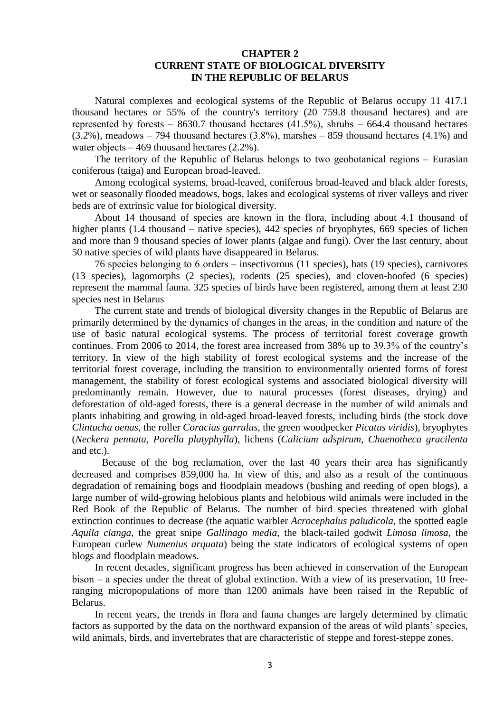#### **CHAPTER 2 CURRENT STATE OF BIOLOGICAL DIVERSITY IN THE REPUBLIC OF BELARUS**

Natural complexes and ecological systems of the Republic of Belarus occupy 11 417.1 thousand hectares or 55% of the country's territory (20 759.8 thousand hectares) and are represented by forests  $-8630.7$  thousand hectares (41.5%), shrubs  $-664.4$  thousand hectares  $(3.2\%)$ , meadows  $-794$  thousand hectares  $(3.8\%)$ , marshes  $-859$  thousand hectares  $(4.1\%)$  and water objects  $-469$  thousand hectares (2.2%).

The territory of the Republic of Belarus belongs to two geobotanical regions – Eurasian coniferous (taiga) and European broad-leaved.

Among ecological systems, broad-leaved, coniferous broad-leaved and black alder forests, wet or seasonally flooded meadows, bogs, lakes and ecological systems of river valleys and river beds are of extrinsic value for biological diversity.

About 14 thousand of species are known in the flora, including about 4.1 thousand of higher plants  $(1.4 \text{ thousand} - \text{native species})$ ,  $442 \text{ species of bryophytes}$ ,  $669 \text{ species of lichen}$ and more than 9 thousand species of lower plants (algae and fungi). Over the last century, about 50 native species of wild plants have disappeared in Belarus.

76 species belonging to 6 orders ‒ insectivorous (11 species), bats (19 species), carnivores (13 species), lagomorphs (2 species), rodents (25 species), and cloven-hoofed (6 species) represent the mammal fauna. 325 species of birds have been registered, among them at least 230 species nest in Belarus

The current state and trends of biological diversity changes in the Republic of Belarus are primarily determined by the dynamics of changes in the areas, in the condition and nature of the use of basic natural ecological systems. The process of territorial forest coverage growth continues. From 2006 to 2014, the forest area increased from 38% up to 39.3% of the country's territory. In view of the high stability of forest ecological systems and the increase of the territorial forest coverage, including the transition to environmentally oriented forms of forest management, the stability of forest ecological systems and associated biological diversity will predominantly remain. However, due to natural processes (forest diseases, drying) and deforestation of old-aged forests, there is a general decrease in the number of wild animals and plants inhabiting and growing in old-aged broad-leaved forests, including birds (the stock dove *Clintucha oenas*, the roller *Coracias garrulus*, the green woodpecker *Picatus viridis*), bryophytes (*Neckera pennata*, *Porella platyphylla*), lichens (*Calicium adspirum*, *Chaenotheca gracilenta* and etc.).

Because of the bog reclamation, over the last 40 years their area has significantly decreased and comprises 859,000 ha. In view of this, and also as a result of the continuous degradation of remaining bogs and floodplain meadows (bushing and reeding of open blogs), a large number of wild-growing helobious plants and helobious wild animals were included in the Red Book of the Republic of Belarus. The number of bird species threatened with global extinction continues to decrease (the aquatic warbler *Acrocephalus paludicola*, the spotted eagle *Aquila clanga*, the great snipe *Gallinago media*, the black-tailed godwit *Limosa limosa*, the European curlew *Numenius arquata*) being the state indicators of ecological systems of open blogs and floodplain meadows.

In recent decades, significant progress has been achieved in conservation of the European  $bison - a species under the threat of global extinction. With a view of its preservation, 10 free$ ranging micropopulations of more than 1200 animals have been raised in the Republic of Belarus.

In recent years, the trends in flora and fauna changes are largely determined by climatic factors as supported by the data on the northward expansion of the areas of wild plants' species, wild animals, birds, and invertebrates that are characteristic of steppe and forest-steppe zones.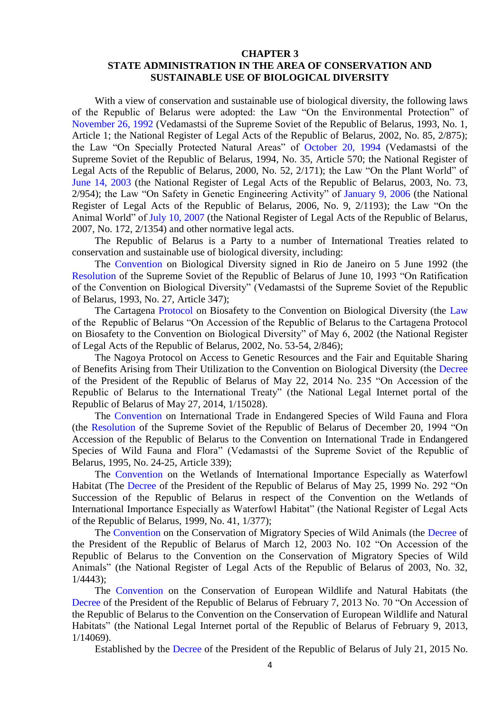# **CHAPTER 3 STATE ADMINISTRATION IN THE AREA OF CONSERVATION AND SUSTAINABLE USE OF BIOLOGICAL DIVERSITY**

With a view of conservation and sustainable use of biological diversity, the following laws of the Republic of Belarus were adopted: the Law "On the Environmental Protection" of November 26, 1992 (Vedamastsi of the Supreme Soviet of the Republic of Belarus, 1993, No. 1, Article 1; the National Register of Legal Acts of the Republic of Belarus, 2002, No. 85, 2/875); the Law "On Specially Protected Natural Areas" of October 20, 1994 (Vedamastsi of the Supreme Soviet of the Republic of Belarus, 1994, No. 35, Article 570; the National Register of Legal Acts of the Republic of Belarus, 2000, No. 52, 2/171); the Law "On the Plant World" of June 14, 2003 (the National Register of Legal Acts of the Republic of Belarus, 2003, No. 73, 2/954); the Law "On Safety in Genetic Engineering Activity" of January 9, 2006 (the National Register of Legal Acts of the Republic of Belarus, 2006, No. 9, 2/1193); the Law "On the Animal World" of July 10, 2007 (the National Register of Legal Acts of the Republic of Belarus, 2007, No. 172, 2/1354) and other normative legal acts.

The Republic of Belarus is a Party to a number of International Treaties related to conservation and sustainable use of biological diversity, including:

The Convention on Biological Diversity signed in Rio de Janeiro on 5 June 1992 (the Resolution of the Supreme Soviet of the Republic of Belarus of June 10, 1993 "On Ratification of the Convention on Biological Diversity" (Vedamastsi of the Supreme Soviet of the Republic of Belarus, 1993, No. 27, Article 347);

The Cartagena Protocol on Biosafety to the Convention on Biological Diversity (the Law of the Republic of Belarus "On Accession of the Republic of Belarus to the Cartagena Protocol on Biosafety to the Convention on Biological Diversity" of May 6, 2002 (the National Register of Legal Acts of the Republic of Belarus, 2002, No. 53-54, 2/846);

The Nagoya Protocol on Access to Genetic Resources and the Fair and Equitable Sharing of Benefits Arising from Their Utilization to the Convention on Biological Diversity (the Decree of the President of the Republic of Belarus of May 22, 2014 No. 235 "On Accession of the Republic of Belarus to the International Treaty" (the National Legal Internet portal of the Republic of Belarus of May 27, 2014, 1/15028).

The Convention on International Trade in Endangered Species of Wild Fauna and Flora (the Resolution of the Supreme Soviet of the Republic of Belarus of December 20, 1994 "On Accession of the Republic of Belarus to the Convention on International Trade in Endangered Species of Wild Fauna and Flora" (Vedamastsi of the Supreme Soviet of the Republic of Belarus, 1995, No. 24-25, Article 339);

The Convention on the Wetlands of International Importance Especially as Waterfowl Habitat (The Decree of the President of the Republic of Belarus of May 25, 1999 No. 292 "On Succession of the Republic of Belarus in respect of the Convention on the Wetlands of International Importance Especially as Waterfowl Habitat" (the National Register of Legal Acts of the Republic of Belarus, 1999, No. 41, 1/377);

The Convention on the Conservation of Migratory Species of Wild Animals (the Decree of the President of the Republic of Belarus of March 12, 2003 No. 102 "On Accession of the Republic of Belarus to the Convention on the Conservation of Migratory Species of Wild Animals" (the National Register of Legal Acts of the Republic of Belarus of 2003, No. 32, 1/4443);

The Convention on the Conservation of European Wildlife and Natural Habitats (the Decree of the President of the Republic of Belarus of February 7, 2013 No. 70 "On Accession of the Republic of Belarus to the Convention on the Conservation of European Wildlife and Natural Habitats" (the National Legal Internet portal of the Republic of Belarus of February 9, 2013, 1/14069).

Established by the Decree of the President of the Republic of Belarus of July 21, 2015 No.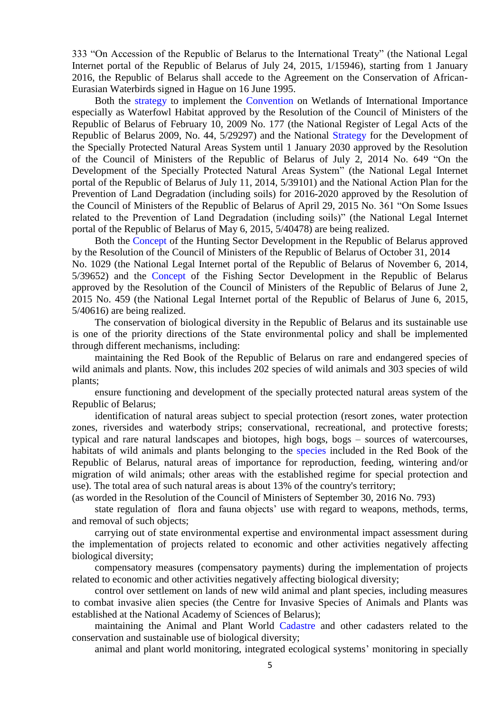333 "On Accession of the Republic of Belarus to the International Treaty" (the National Legal Internet portal of the Republic of Belarus of July 24, 2015, 1/15946), starting from 1 January 2016, the Republic of Belarus shall accede to the Agreement on the Conservation of African-Eurasian Waterbirds signed in Hague on 16 June 1995.

Both the strategy to implement the Convention on Wetlands of International Importance especially as Waterfowl Habitat approved by the Resolution of the Council of Ministers of the Republic of Belarus of February 10, 2009 No. 177 (the National Register of Legal Acts of the Republic of Belarus 2009, No. 44, 5/29297) and the National Strategy for the Development of the Specially Protected Natural Areas System until 1 January 2030 approved by the Resolution of the Council of Ministers of the Republic of Belarus of July 2, 2014 No. 649 "On the Development of the Specially Protected Natural Areas System" (the National Legal Internet portal of the Republic of Belarus of July 11, 2014, 5/39101) and the National Action Plan for the Prevention of Land Degradation (including soils) for 2016-2020 approved by the Resolution of the Council of Ministers of the Republic of Belarus of April 29, 2015 No. 361 "On Some Issues related to the Prevention of Land Degradation (including soils)" (the National Legal Internet portal of the Republic of Belarus of May 6, 2015, 5/40478) are being realized.

Both the Concept of the Hunting Sector Development in the Republic of Belarus approved by the Resolution of the Council of Ministers of the Republic of Belarus of October 31, 2014 No. 1029 (the National Legal Internet portal of the Republic of Belarus of November 6, 2014,

5/39652) and the Concept of the Fishing Sector Development in the Republic of Belarus approved by the Resolution of the Council of Ministers of the Republic of Belarus of June 2, 2015 No. 459 (the National Legal Internet portal of the Republic of Belarus of June 6, 2015, 5/40616) are being realized.

The conservation of biological diversity in the Republic of Belarus and its sustainable use is one of the priority directions of the State environmental policy and shall be implemented through different mechanisms, including:

maintaining the Red Book of the Republic of Belarus on rare and endangered species of wild animals and plants. Now, this includes 202 species of wild animals and 303 species of wild plants;

ensure functioning and development of the specially protected natural areas system of the Republic of Belarus;

 identification of natural areas subject to special protection (resort zones, water protection zones, riversides and waterbody strips; conservational, recreational, and protective forests; typical and rare natural landscapes and biotopes, high bogs, bogs – sources of watercourses, habitats of wild animals and plants belonging to the species included in the Red Book of the Republic of Belarus, natural areas of importance for reproduction, feeding, wintering and/or migration of wild animals; other areas with the established regime for special protection and use). The total area of such natural areas is about 13% of the country's territory;

(as worded in the Resolution of the Council of Ministers of September 30, 2016 No. 793)

state regulation of flora and fauna objects' use with regard to weapons, methods, terms, and removal of such objects;

carrying out of state environmental expertise and environmental impact assessment during the implementation of projects related to economic and other activities negatively affecting biological diversity;

compensatory measures (compensatory payments) during the implementation of projects related to economic and other activities negatively affecting biological diversity;

control over settlement on lands of new wild animal and plant species, including measures to combat invasive alien species (the Centre for Invasive Species of Animals and Plants was established at the National Academy of Sciences of Belarus);

maintaining the Animal and Plant World Cadastre and other cadasters related to the conservation and sustainable use of biological diversity;

animal and plant world monitoring, integrated ecological systems' monitoring in specially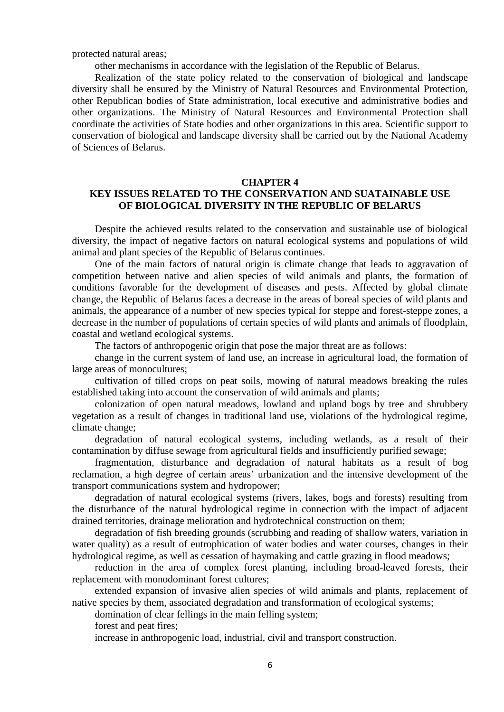protected natural areas;

other mechanisms in accordance with the legislation of the Republic of Belarus.

Realization of the state policy related to the conservation of biological and landscape diversity shall be ensured by the Ministry of Natural Resources and Environmental Protection, other Republican bodies of State administration, local executive and administrative bodies and other organizations. The Ministry of Natural Resources and Environmental Protection shall coordinate the activities of State bodies and other organizations in this area. Scientific support to conservation of biological and landscape diversity shall be carried out by the National Academy of Sciences of Belarus.

#### **CHAPTER 4**

# **KEY ISSUES RELATED TO THE CONSERVATION AND SUATAINABLE USE OF BIOLOGICAL DIVERSITY IN THE REPUBLIC OF BELARUS**

Despite the achieved results related to the conservation and sustainable use of biological diversity, the impact of negative factors on natural ecological systems and populations of wild animal and plant species of the Republic of Belarus continues.

One of the main factors of natural origin is climate change that leads to aggravation of competition between native and alien species of wild animals and plants, the formation of conditions favorable for the development of diseases and pests. Affected by global climate change, the Republic of Belarus faces a decrease in the areas of boreal species of wild plants and animals, the appearance of a number of new species typical for steppe and forest-steppe zones, a decrease in the number of populations of certain species of wild plants and animals of floodplain, coastal and wetland ecological systems.

The factors of anthropogenic origin that pose the major threat are as follows:

change in the current system of land use, an increase in agricultural load, the formation of large areas of monocultures;

cultivation of tilled crops on peat soils, mowing of natural meadows breaking the rules established taking into account the conservation of wild animals and plants;

colonization of open natural meadows, lowland and upland bogs by tree and shrubbery vegetation as a result of changes in traditional land use, violations of the hydrological regime, climate change;

degradation of natural ecological systems, including wetlands, as a result of their contamination by diffuse sewage from agricultural fields and insufficiently purified sewage;

fragmentation, disturbance and degradation of natural habitats as a result of bog reclamation, a high degree of certain areas' urbanization and the intensive development of the transport communications system and hydropower;

degradation of natural ecological systems (rivers, lakes, bogs and forests) resulting from the disturbance of the natural hydrological regime in connection with the impact of adjacent drained territories, drainage melioration and hydrotechnical construction on them;

degradation of fish breeding grounds (scrubbing and reading of shallow waters, variation in water quality) as a result of eutrophication of water bodies and water courses, changes in their hydrological regime, as well as cessation of haymaking and cattle grazing in flood meadows;

reduction in the area of complex forest planting, including broad-leaved forests, their replacement with monodominant forest cultures;

extended expansion of invasive alien species of wild animals and plants, replacement of native species by them, associated degradation and transformation of ecological systems;

domination of clear fellings in the main felling system;

forest and peat fires;

increase in anthropogenic load, industrial, civil and transport construction.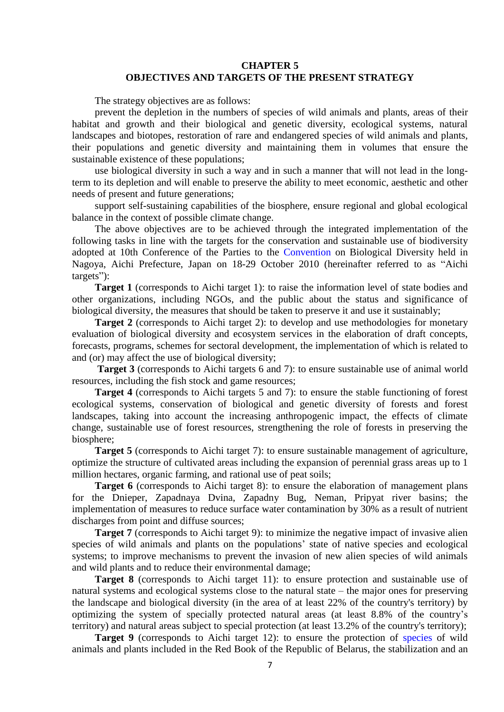#### **CHAPTER 5 OBJECTIVES AND TARGETS OF THE PRESENT STRATEGY**

The strategy objectives are as follows:

prevent the depletion in the numbers of species of wild animals and plants, areas of their habitat and growth and their biological and genetic diversity, ecological systems, natural landscapes and biotopes, restoration of rare and endangered species of wild animals and plants, their populations and genetic diversity and maintaining them in volumes that ensure the sustainable existence of these populations;

use biological diversity in such a way and in such a manner that will not lead in the longterm to its depletion and will enable to preserve the ability to meet economic, aesthetic and other needs of present and future generations;

support self-sustaining capabilities of the biosphere, ensure regional and global ecological balance in the context of possible climate change.

The above objectives are to be achieved through the integrated implementation of the following tasks in line with the targets for the conservation and sustainable use of biodiversity adopted at 10th Conference of the Parties to the Convention on Biological Diversity held in Nagoya, Aichi Prefecture, Japan on 18-29 October 2010 (hereinafter referred to as "Aichi targets"):

**Target 1** (corresponds to Aichi target 1): to raise the information level of state bodies and other organizations, including NGOs, and the public about the status and significance of biological diversity, the measures that should be taken to preserve it and use it sustainably;

**Target 2** (corresponds to Aichi target 2): to develop and use methodologies for monetary evaluation of biological diversity and ecosystem services in the elaboration of draft concepts, forecasts, programs, schemes for sectoral development, the implementation of which is related to and (or) may affect the use of biological diversity;

**Target 3** (corresponds to Aichi targets 6 and 7): to ensure sustainable use of animal world resources, including the fish stock and game resources;

**Target 4** (corresponds to Aichi targets 5 and 7): to ensure the stable functioning of forest ecological systems, conservation of biological and genetic diversity of forests and forest landscapes, taking into account the increasing anthropogenic impact, the effects of climate change, sustainable use of forest resources, strengthening the role of forests in preserving the biosphere;

**Target 5** (corresponds to Aichi target 7): to ensure sustainable management of agriculture, optimize the structure of cultivated areas including the expansion of perennial grass areas up to 1 million hectares, organic farming, and rational use of peat soils;

**Target 6** (corresponds to Aichi target 8): to ensure the elaboration of management plans for the Dnieper, Zapadnaya Dvina, Zapadny Bug, Neman, Pripyat river basins; the implementation of measures to reduce surface water contamination by 30% as a result of nutrient discharges from point and diffuse sources;

**Target 7** (corresponds to Aichi target 9): to minimize the negative impact of invasive alien species of wild animals and plants on the populations' state of native species and ecological systems; to improve mechanisms to prevent the invasion of new alien species of wild animals and wild plants and to reduce their environmental damage;

**Target 8** (corresponds to Aichi target 11): to ensure protection and sustainable use of natural systems and ecological systems close to the natural state – the major ones for preserving the landscape and biological diversity (in the area of at least 22% of the country's territory) by optimizing the system of specially protected natural areas (at least 8.8% of the country's territory) and natural areas subject to special protection (at least 13.2% of the country's territory);

**Target 9** (corresponds to Aichi target 12): to ensure the protection of species of wild animals and plants included in the Red Book of the Republic of Belarus, the stabilization and an